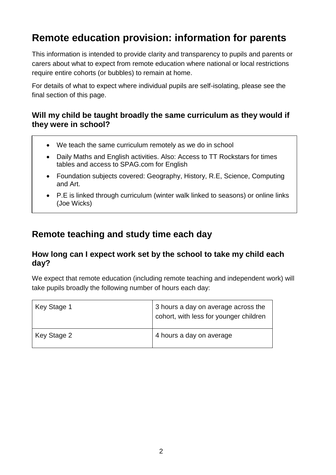# **Remote education provision: information for parents**

This information is intended to provide clarity and transparency to pupils and parents or carers about what to expect from remote education where national or local restrictions require entire cohorts (or bubbles) to remain at home.

For details of what to expect where individual pupils are self-isolating, please see the final section of this page.

#### **Will my child be taught broadly the same curriculum as they would if they were in school?**

- We teach the same curriculum remotely as we do in school
- Daily Maths and English activities. Also: Access to TT Rockstars for times tables and access to SPAG.com for English
- Foundation subjects covered: Geography, History, R.E, Science, Computing and Art.
- P.E is linked through curriculum (winter walk linked to seasons) or online links (Joe Wicks)

### **Remote teaching and study time each day**

### **How long can I expect work set by the school to take my child each day?**

We expect that remote education (including remote teaching and independent work) will take pupils broadly the following number of hours each day:

| Key Stage 1 | 3 hours a day on average across the<br>cohort, with less for younger children |
|-------------|-------------------------------------------------------------------------------|
| Key Stage 2 | 4 hours a day on average                                                      |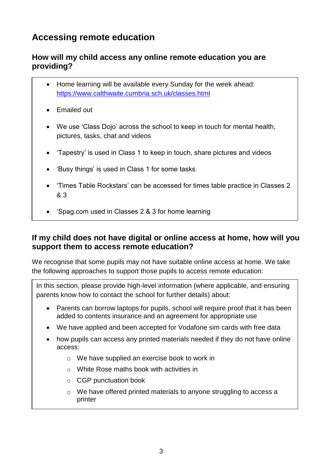# **Accessing remote education**

### **How will my child access any online remote education you are providing?**

- Home learning will be available every Sunday for the week ahead: <https://www.calthwaite.cumbria.sch.uk/classes.html>
- Emailed out
- We use 'Class Dojo' across the school to keep in touch for mental health, pictures, tasks, chat and videos
- 'Tapestry' is used in Class 1 to keep in touch, share pictures and videos
- 'Busy things' is used in Class 1 for some tasks
- 'Times Table Rockstars' can be accessed for times table practice in Classes 2 & 3
- 'Spag.com used in Classes 2 & 3 for home learning

### **If my child does not have digital or online access at home, how will you support them to access remote education?**

We recognise that some pupils may not have suitable online access at home. We take the following approaches to support those pupils to access remote education:

In this section, please provide high-level information (where applicable, and ensuring parents know how to contact the school for further details) about:

- Parents can borrow laptops for pupils, school will require proof that it has been added to contents insurance and an agreement for appropriate use
- We have applied and been accepted for Vodafone sim cards with free data
- how pupils can access any printed materials needed if they do not have online access:
	- o We have supplied an exercise book to work in
	- o White Rose maths book with activities in
	- o CGP punctuation book
	- o We have offered printed materials to anyone struggling to access a printer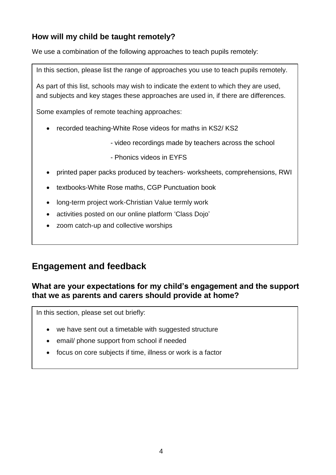### **How will my child be taught remotely?**

We use a combination of the following approaches to teach pupils remotely:

In this section, please list the range of approaches you use to teach pupils remotely.

As part of this list, schools may wish to indicate the extent to which they are used, and subjects and key stages these approaches are used in, if there are differences.

Some examples of remote teaching approaches:

- recorded teaching-White Rose videos for maths in KS2/ KS2
	- video recordings made by teachers across the school
	- Phonics videos in EYFS
- printed paper packs produced by teachers- worksheets, comprehensions, RWI
- textbooks-White Rose maths, CGP Punctuation book
- long-term project work-Christian Value termly work
- activities posted on our online platform 'Class Dojo'
- zoom catch-up and collective worships

### **Engagement and feedback**

### **What are your expectations for my child's engagement and the support that we as parents and carers should provide at home?**

In this section, please set out briefly:

- we have sent out a timetable with suggested structure
- email/ phone support from school if needed
- focus on core subjects if time, illness or work is a factor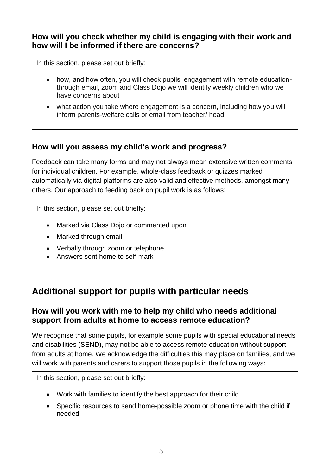### **How will you check whether my child is engaging with their work and how will I be informed if there are concerns?**

In this section, please set out briefly:

- how, and how often, you will check pupils' engagement with remote educationthrough email, zoom and Class Dojo we will identify weekly children who we have concerns about
- what action you take where engagement is a concern, including how you will inform parents-welfare calls or email from teacher/ head

### **How will you assess my child's work and progress?**

Feedback can take many forms and may not always mean extensive written comments for individual children. For example, whole-class feedback or quizzes marked automatically via digital platforms are also valid and effective methods, amongst many others. Our approach to feeding back on pupil work is as follows:

In this section, please set out briefly:

- Marked via Class Dojo or commented upon
- Marked through email
- Verbally through zoom or telephone
- Answers sent home to self-mark

# **Additional support for pupils with particular needs**

### **How will you work with me to help my child who needs additional support from adults at home to access remote education?**

We recognise that some pupils, for example some pupils with special educational needs and disabilities (SEND), may not be able to access remote education without support from adults at home. We acknowledge the difficulties this may place on families, and we will work with parents and carers to support those pupils in the following ways:

In this section, please set out briefly:

- Work with families to identify the best approach for their child
- Specific resources to send home-possible zoom or phone time with the child if needed